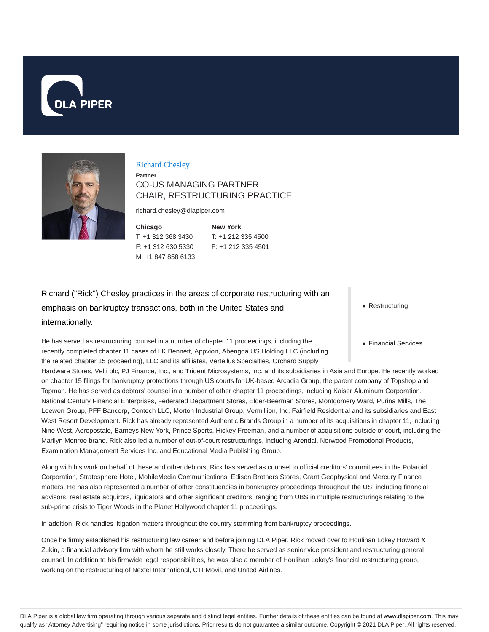



#### Richard Chesley

## **Partner** CO-US MANAGING PARTNER CHAIR, RESTRUCTURING PRACTICE

richard.chesley@dlapiper.com

**Chicago** T: +1 312 368 3430 F: +1 312 630 5330 M: +1 847 858 6133

**New York** T: +1 212 335 4500 F: +1 212 335 4501

Richard ("Rick") Chesley practices in the areas of corporate restructuring with an emphasis on bankruptcy transactions, both in the United States and internationally.

He has served as restructuring counsel in a number of chapter 11 proceedings, including the recently completed chapter 11 cases of LK Bennett, Appvion, Abengoa US Holding LLC (including the related chapter 15 proceeding), LLC and its affiliates, Vertellus Specialties, Orchard Supply

Hardware Stores, Velti plc, PJ Finance, Inc., and Trident Microsystems, Inc. and its subsidiaries in Asia and Europe. He recently worked on chapter 15 filings for bankruptcy protections through US courts for UK-based Arcadia Group, the parent company of Topshop and Topman. He has served as debtors' counsel in a number of other chapter 11 proceedings, including Kaiser Aluminum Corporation, National Century Financial Enterprises, Federated Department Stores, Elder-Beerman Stores, Montgomery Ward, Purina Mills, The Loewen Group, PFF Bancorp, Contech LLC, Morton Industrial Group, Vermillion, Inc, Fairfield Residential and its subsidiaries and East West Resort Development. Rick has already represented Authentic Brands Group in a number of its acquisitions in chapter 11, including Nine West, Aeropostale, Barneys New York, Prince Sports, Hickey Freeman, and a number of acquisitions outside of court, including the Marilyn Monroe brand. Rick also led a number of out-of-court restructurings, including Arendal, Norwood Promotional Products, Examination Management Services Inc. and Educational Media Publishing Group.

Along with his work on behalf of these and other debtors, Rick has served as counsel to official creditors' committees in the Polaroid Corporation, Stratosphere Hotel, MobileMedia Communications, Edison Brothers Stores, Grant Geophysical and Mercury Finance matters. He has also represented a number of other constituencies in bankruptcy proceedings throughout the US, including financial advisors, real estate acquirors, liquidators and other significant creditors, ranging from UBS in multiple restructurings relating to the sub-prime crisis to Tiger Woods in the Planet Hollywood chapter 11 proceedings.

In addition, Rick handles litigation matters throughout the country stemming from bankruptcy proceedings.

Once he firmly established his restructuring law career and before joining DLA Piper, Rick moved over to Houlihan Lokey Howard & Zukin, a financial advisory firm with whom he still works closely. There he served as senior vice president and restructuring general counsel. In addition to his firmwide legal responsibilities, he was also a member of Houlihan Lokey's financial restructuring group, working on the restructuring of Nextel International, CTI Movil, and United Airlines.

• Restructuring

Financial Services

DLA Piper is a global law firm operating through various separate and distinct legal entities. Further details of these entities can be found at www.dlapiper.com. This may qualify as "Attorney Advertising" requiring notice in some jurisdictions. Prior results do not guarantee a similar outcome. Copyright © 2021 DLA Piper. All rights reserved.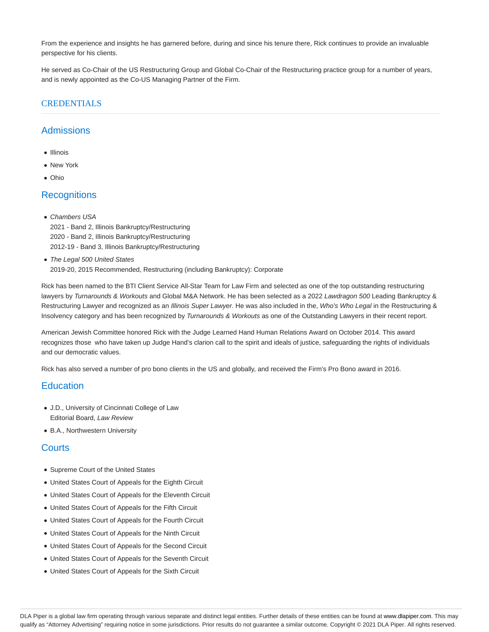From the experience and insights he has garnered before, during and since his tenure there, Rick continues to provide an invaluable perspective for his clients.

He served as Co-Chair of the US Restructuring Group and Global Co-Chair of the Restructuring practice group for a number of years, and is newly appointed as the Co-US Managing Partner of the Firm.

# CREDENTIALS

# **Admissions**

- Illinois
- New York
- Ohio

# **Recognitions**

- Chambers USA
	- 2021 Band 2, Illinois Bankruptcy/Restructuring 2020 - Band 2, Illinois Bankruptcy/Restructuring 2012-19 - Band 3, Illinois Bankruptcy/Restructuring
- The Legal 500 United States 2019-20, 2015 Recommended, Restructuring (including Bankruptcy): Corporate

Rick has been named to the BTI Client Service All-Star Team for Law Firm and selected as one of the top outstanding restructuring lawyers by Turnarounds & Workouts and Global M&A Network. He has been selected as a 2022 Lawdragon 500 Leading Bankruptcy & Restructuring Lawyer and recognized as an Illinois Super Lawyer. He was also included in the, Who's Who Legal in the Restructuring & Insolvency category and has been recognized by Turnarounds & Workouts as one of the Outstanding Lawyers in their recent report.

American Jewish Committee honored Rick with the Judge Learned Hand Human Relations Award on October 2014. This award recognizes those who have taken up Judge Hand's clarion call to the spirit and ideals of justice, safeguarding the rights of individuals and our democratic values.

Rick has also served a number of pro bono clients in the US and globally, and received the Firm's Pro Bono award in 2016.

### **Education**

- J.D., University of Cincinnati College of Law Editorial Board, Law Review
- B.A., Northwestern University

### **Courts**

- Supreme Court of the United States
- United States Court of Appeals for the Eighth Circuit
- United States Court of Appeals for the Eleventh Circuit
- United States Court of Appeals for the Fifth Circuit
- United States Court of Appeals for the Fourth Circuit
- United States Court of Appeals for the Ninth Circuit
- United States Court of Appeals for the Second Circuit
- United States Court of Appeals for the Seventh Circuit
- United States Court of Appeals for the Sixth Circuit

DLA Piper is a global law firm operating through various separate and distinct legal entities. Further details of these entities can be found at www.dlapiper.com. This may qualify as "Attorney Advertising" requiring notice in some jurisdictions. Prior results do not guarantee a similar outcome. Copyright @ 2021 DLA Piper. All rights reserved.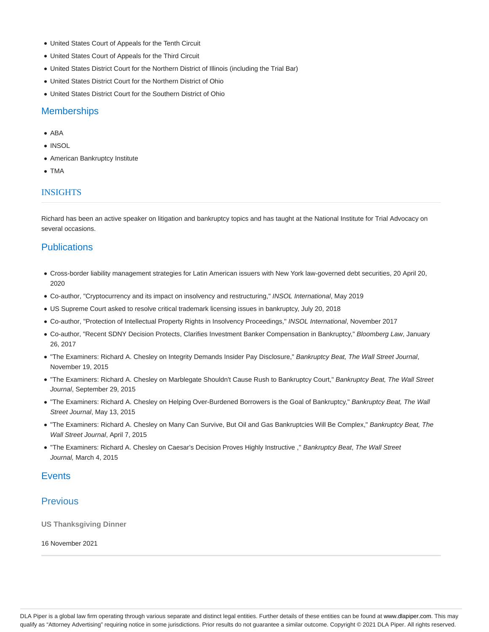- United States Court of Appeals for the Tenth Circuit
- United States Court of Appeals for the Third Circuit
- United States District Court for the Northern District of Illinois (including the Trial Bar)
- United States District Court for the Northern District of Ohio
- United States District Court for the Southern District of Ohio

### **Memberships**

- ABA
- INSOL
- American Bankruptcy Institute
- TMA

#### **INSIGHTS**

Richard has been an active speaker on litigation and bankruptcy topics and has taught at the National Institute for Trial Advocacy on several occasions.

## **Publications**

- Cross-border liability management strategies for Latin American issuers with New York law-governed debt securities, 20 April 20, 2020
- Co-author, "Cryptocurrency and its impact on insolvency and restructuring," INSOL International, May 2019
- US Supreme Court asked to resolve critical trademark licensing issues in bankruptcy, July 20, 2018
- Co-author, "Protection of Intellectual Property Rights in Insolvency Proceedings," INSOL International, November 2017
- Co-author, "Recent SDNY Decision Protects, Clarifies Investment Banker Compensation in Bankruptcy," Bloomberg Law, January 26, 2017
- . "The Examiners: Richard A. Chesley on Integrity Demands Insider Pay Disclosure," Bankruptcy Beat, The Wall Street Journal, November 19, 2015
- . "The Examiners: Richard A. Chesley on Marblegate Shouldn't Cause Rush to Bankruptcy Court," Bankruptcy Beat, The Wall Street Journal, September 29, 2015
- . "The Examiners: Richard A. Chesley on Helping Over-Burdened Borrowers is the Goal of Bankruptcy," Bankruptcy Beat, The Wall Street Journal, May 13, 2015
- . "The Examiners: Richard A. Chesley on Many Can Survive, But Oil and Gas Bankruptcies Will Be Complex," Bankruptcy Beat, The Wall Street Journal, April 7, 2015
- ''The Examiners: Richard A. Chesley on Caesar's Decision Proves Highly Instructive ,'' Bankruptcy Beat, The Wall Street Journal, March 4, 2015

### **Events**

### **Previous**

**US Thanksgiving Dinner**

16 November 2021